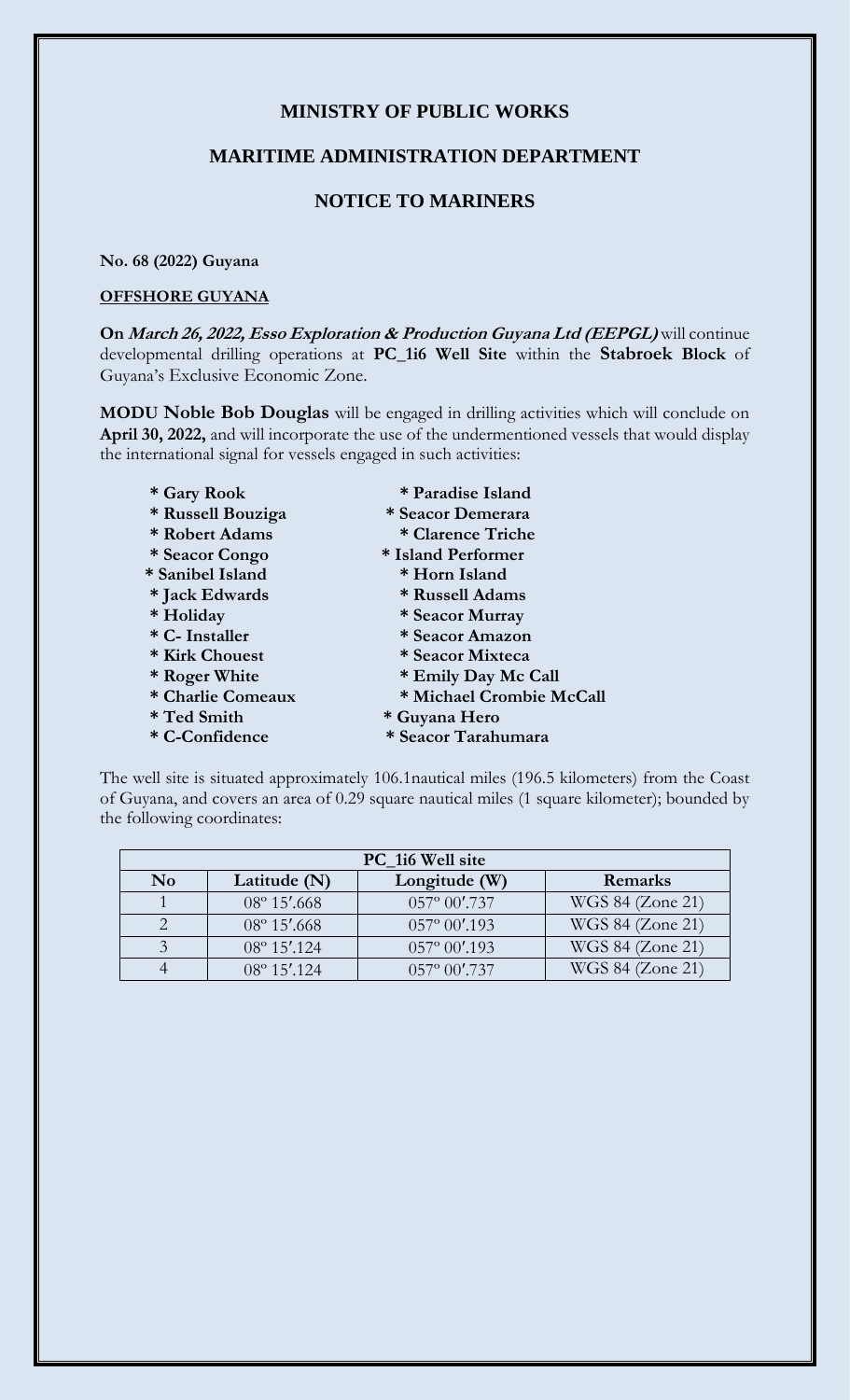# **MINISTRY OF PUBLIC WORKS**

### **MARITIME ADMINISTRATION DEPARTMENT**

# **NOTICE TO MARINERS**

#### **No. 68 (2022) Guyana**

#### **OFFSHORE GUYANA**

**On March 26, 2022, Esso Exploration & Production Guyana Ltd (EEPGL)** will continue developmental drilling operations at **PC\_1i6 Well Site** within the **Stabroek Block** of Guyana's Exclusive Economic Zone.

**MODU Noble Bob Douglas** will be engaged in drilling activities which will conclude on **April 30, 2022,** and will incorporate the use of the undermentioned vessels that would display the international signal for vessels engaged in such activities:

- 
- **\* Russell Bouziga \* Seacor Demerara**
- **\* Robert Adams \* Clarence Triche**
- **\* Seacor Congo \* Island Performer**
- **\* Sanibel Island \* Horn Island**
- 
- 
- 
- **\* Kirk Chouest \* Seacor Mixteca**
- 
- 
- 
- 
- **\* Gary Rook \* Paradise Island**
	- -
	-
	-
- **\* Jack Edwards \* Russell Adams**
- **\* Holiday \* Seacor Murray**
- **\* C- Installer \* Seacor Amazon**
	-
- **\* Roger White \* Emily Day Mc Call**
- **\* Charlie Comeaux \* Michael Crombie McCall**
- **\* Ted Smith \* Guyana Hero**
- **\* C-Confidence \* Seacor Tarahumara**

The well site is situated approximately 106.1nautical miles (196.5 kilometers) from the Coast of Guyana, and covers an area of 0.29 square nautical miles (1 square kilometer); bounded by the following coordinates:

| PC_1i6 Well site |                       |                         |                  |
|------------------|-----------------------|-------------------------|------------------|
| N <sub>0</sub>   | Latitude (N)          | Longitude (W)           | Remarks          |
|                  | $08^{\circ} 15'$ .668 | $057^{\circ} 00'$ .737  | WGS 84 (Zone 21) |
|                  | $08^{\circ} 15'$ .668 | $057^{\circ} 00'$ .193  | WGS 84 (Zone 21) |
|                  | 08° 15'.124           | $057^{\circ} 00'$ .193  | WGS 84 (Zone 21) |
|                  | $08^{\circ} 15'$ .124 | $0.57^{\circ} 00'$ .737 | WGS 84 (Zone 21) |